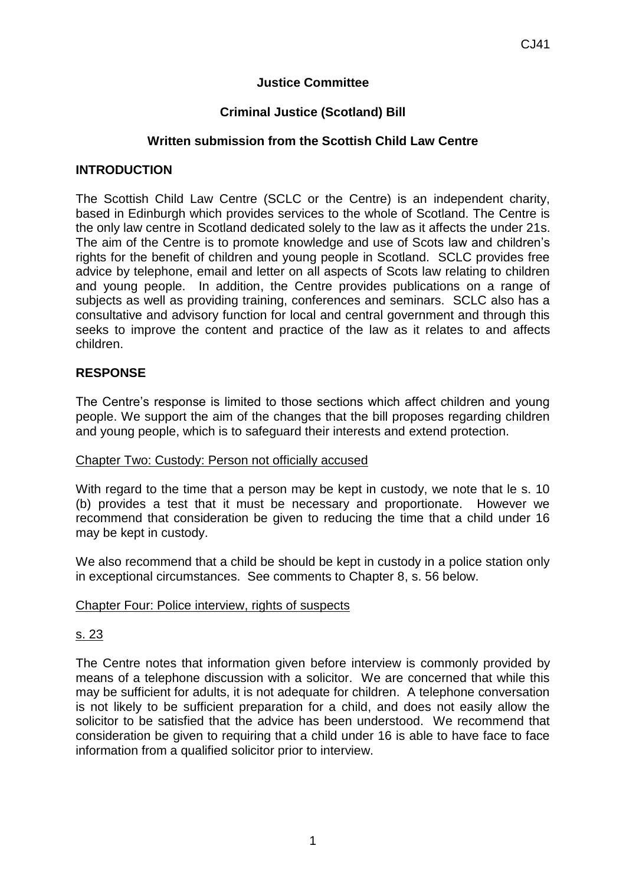# **Justice Committee**

## **Criminal Justice (Scotland) Bill**

### **Written submission from the Scottish Child Law Centre**

### **INTRODUCTION**

The Scottish Child Law Centre (SCLC or the Centre) is an independent charity, based in Edinburgh which provides services to the whole of Scotland. The Centre is the only law centre in Scotland dedicated solely to the law as it affects the under 21s. The aim of the Centre is to promote knowledge and use of Scots law and children's rights for the benefit of children and young people in Scotland. SCLC provides free advice by telephone, email and letter on all aspects of Scots law relating to children and young people. In addition, the Centre provides publications on a range of subjects as well as providing training, conferences and seminars. SCLC also has a consultative and advisory function for local and central government and through this seeks to improve the content and practice of the law as it relates to and affects children.

## **RESPONSE**

The Centre's response is limited to those sections which affect children and young people. We support the aim of the changes that the bill proposes regarding children and young people, which is to safeguard their interests and extend protection.

### Chapter Two: Custody: Person not officially accused

With regard to the time that a person may be kept in custody, we note that le s, 10 (b) provides a test that it must be necessary and proportionate. However we recommend that consideration be given to reducing the time that a child under 16 may be kept in custody.

We also recommend that a child be should be kept in custody in a police station only in exceptional circumstances. See comments to Chapter 8, s. 56 below.

### Chapter Four: Police interview, rights of suspects

### s. 23

The Centre notes that information given before interview is commonly provided by means of a telephone discussion with a solicitor. We are concerned that while this may be sufficient for adults, it is not adequate for children. A telephone conversation is not likely to be sufficient preparation for a child, and does not easily allow the solicitor to be satisfied that the advice has been understood. We recommend that consideration be given to requiring that a child under 16 is able to have face to face information from a qualified solicitor prior to interview.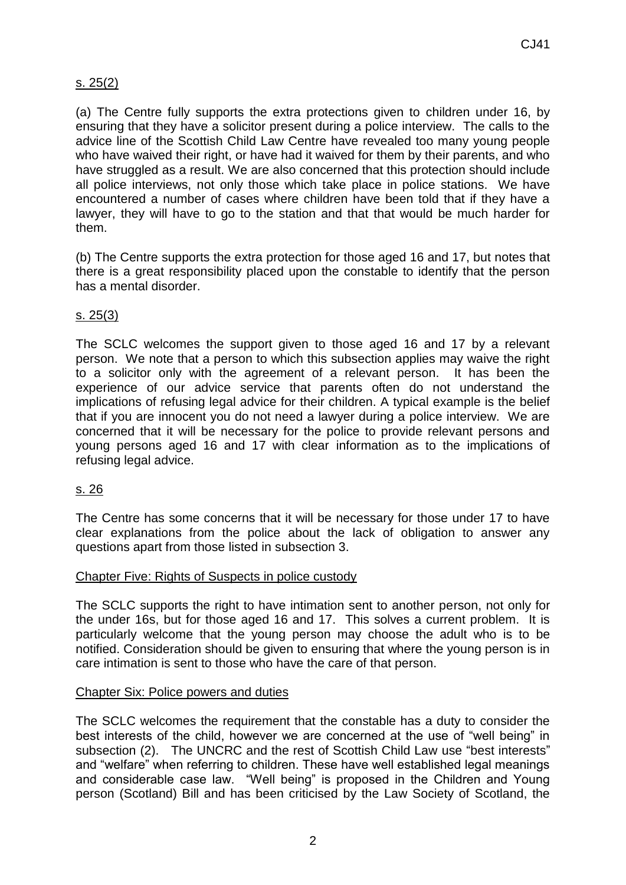# s. 25(2)

(a) The Centre fully supports the extra protections given to children under 16, by ensuring that they have a solicitor present during a police interview. The calls to the advice line of the Scottish Child Law Centre have revealed too many young people who have waived their right, or have had it waived for them by their parents, and who have struggled as a result. We are also concerned that this protection should include all police interviews, not only those which take place in police stations. We have encountered a number of cases where children have been told that if they have a lawyer, they will have to go to the station and that that would be much harder for them.

(b) The Centre supports the extra protection for those aged 16 and 17, but notes that there is a great responsibility placed upon the constable to identify that the person has a mental disorder.

## s. 25(3)

The SCLC welcomes the support given to those aged 16 and 17 by a relevant person. We note that a person to which this subsection applies may waive the right to a solicitor only with the agreement of a relevant person. It has been the experience of our advice service that parents often do not understand the implications of refusing legal advice for their children. A typical example is the belief that if you are innocent you do not need a lawyer during a police interview. We are concerned that it will be necessary for the police to provide relevant persons and young persons aged 16 and 17 with clear information as to the implications of refusing legal advice.

### s. 26

The Centre has some concerns that it will be necessary for those under 17 to have clear explanations from the police about the lack of obligation to answer any questions apart from those listed in subsection 3.

### Chapter Five: Rights of Suspects in police custody

The SCLC supports the right to have intimation sent to another person, not only for the under 16s, but for those aged 16 and 17. This solves a current problem. It is particularly welcome that the young person may choose the adult who is to be notified. Consideration should be given to ensuring that where the young person is in care intimation is sent to those who have the care of that person.

### Chapter Six: Police powers and duties

The SCLC welcomes the requirement that the constable has a duty to consider the best interests of the child, however we are concerned at the use of "well being" in subsection (2). The UNCRC and the rest of Scottish Child Law use "best interests" and "welfare" when referring to children. These have well established legal meanings and considerable case law. "Well being" is proposed in the Children and Young person (Scotland) Bill and has been criticised by the Law Society of Scotland, the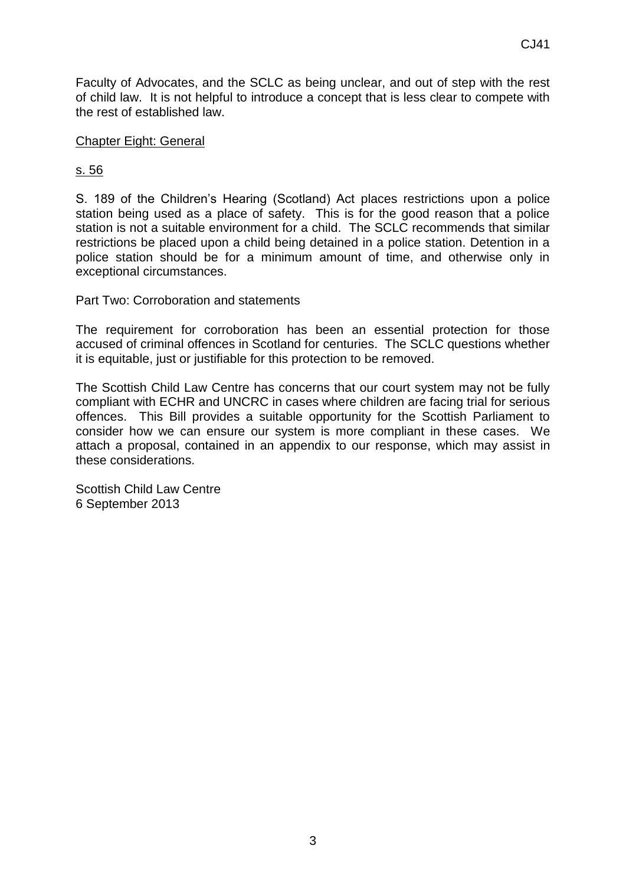Faculty of Advocates, and the SCLC as being unclear, and out of step with the rest of child law. It is not helpful to introduce a concept that is less clear to compete with the rest of established law.

## Chapter Eight: General

# s. 56

S. 189 of the Children's Hearing (Scotland) Act places restrictions upon a police station being used as a place of safety. This is for the good reason that a police station is not a suitable environment for a child. The SCLC recommends that similar restrictions be placed upon a child being detained in a police station. Detention in a police station should be for a minimum amount of time, and otherwise only in exceptional circumstances.

Part Two: Corroboration and statements

The requirement for corroboration has been an essential protection for those accused of criminal offences in Scotland for centuries. The SCLC questions whether it is equitable, just or justifiable for this protection to be removed.

The Scottish Child Law Centre has concerns that our court system may not be fully compliant with ECHR and UNCRC in cases where children are facing trial for serious offences. This Bill provides a suitable opportunity for the Scottish Parliament to consider how we can ensure our system is more compliant in these cases. We attach a proposal, contained in an appendix to our response, which may assist in these considerations.

Scottish Child Law Centre 6 September 2013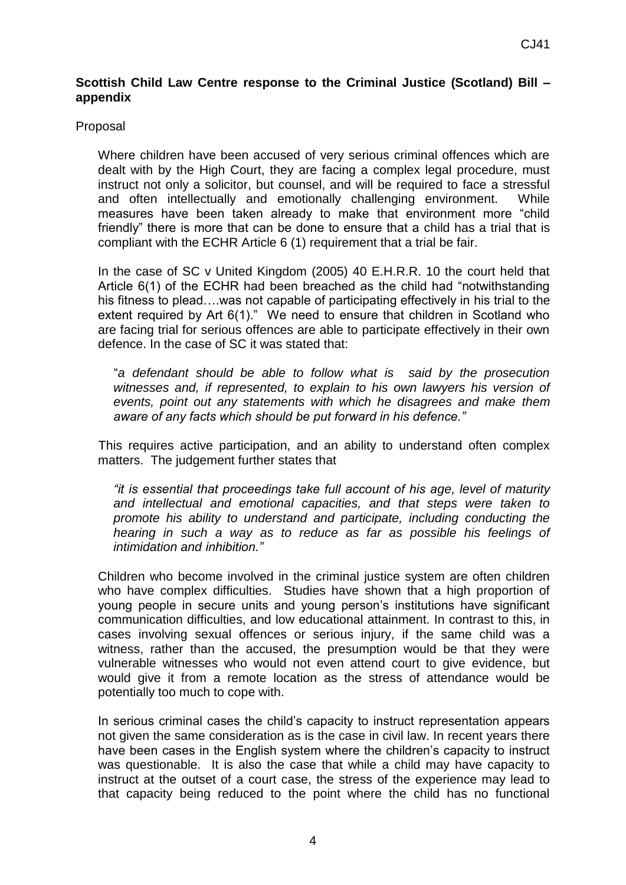## **Scottish Child Law Centre response to the Criminal Justice (Scotland) Bill – appendix**

### Proposal

Where children have been accused of very serious criminal offences which are dealt with by the High Court, they are facing a complex legal procedure, must instruct not only a solicitor, but counsel, and will be required to face a stressful and often intellectually and emotionally challenging environment. While measures have been taken already to make that environment more "child friendly" there is more that can be done to ensure that a child has a trial that is compliant with the ECHR Article 6 (1) requirement that a trial be fair.

In the case of SC v United Kingdom (2005) 40 E.H.R.R. 10 the court held that Article 6(1) of the ECHR had been breached as the child had "notwithstanding his fitness to plead...was not capable of participating effectively in his trial to the extent required by Art 6(1)." We need to ensure that children in Scotland who are facing trial for serious offences are able to participate effectively in their own defence. In the case of SC it was stated that:

"*a defendant should be able to follow what is said by the prosecution witnesses and, if represented, to explain to his own lawyers his version of events, point out any statements with which he disagrees and make them aware of any facts which should be put forward in his defence."*

This requires active participation, and an ability to understand often complex matters. The judgement further states that

*"it is essential that proceedings take full account of his age, level of maturity and intellectual and emotional capacities, and that steps were taken to promote his ability to understand and participate, including conducting the hearing in such a way as to reduce as far as possible his feelings of intimidation and inhibition."*

Children who become involved in the criminal justice system are often children who have complex difficulties. Studies have shown that a high proportion of young people in secure units and young person's institutions have significant communication difficulties, and low educational attainment. In contrast to this, in cases involving sexual offences or serious injury, if the same child was a witness, rather than the accused, the presumption would be that they were vulnerable witnesses who would not even attend court to give evidence, but would give it from a remote location as the stress of attendance would be potentially too much to cope with.

In serious criminal cases the child's capacity to instruct representation appears not given the same consideration as is the case in civil law. In recent years there have been cases in the English system where the children's capacity to instruct was questionable. It is also the case that while a child may have capacity to instruct at the outset of a court case, the stress of the experience may lead to that capacity being reduced to the point where the child has no functional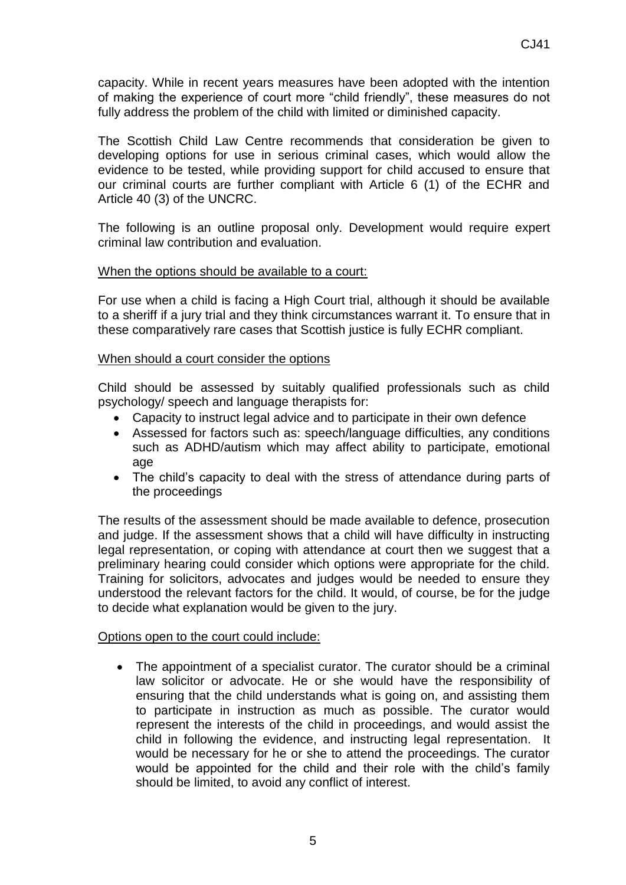capacity. While in recent years measures have been adopted with the intention of making the experience of court more "child friendly", these measures do not fully address the problem of the child with limited or diminished capacity.

The Scottish Child Law Centre recommends that consideration be given to developing options for use in serious criminal cases, which would allow the evidence to be tested, while providing support for child accused to ensure that our criminal courts are further compliant with Article 6 (1) of the ECHR and Article 40 (3) of the UNCRC.

The following is an outline proposal only. Development would require expert criminal law contribution and evaluation.

### When the options should be available to a court:

For use when a child is facing a High Court trial, although it should be available to a sheriff if a jury trial and they think circumstances warrant it. To ensure that in these comparatively rare cases that Scottish justice is fully ECHR compliant.

#### When should a court consider the options

Child should be assessed by suitably qualified professionals such as child psychology/ speech and language therapists for:

- Capacity to instruct legal advice and to participate in their own defence
- Assessed for factors such as: speech/language difficulties, any conditions such as ADHD/autism which may affect ability to participate, emotional age
- The child's capacity to deal with the stress of attendance during parts of the proceedings

The results of the assessment should be made available to defence, prosecution and judge. If the assessment shows that a child will have difficulty in instructing legal representation, or coping with attendance at court then we suggest that a preliminary hearing could consider which options were appropriate for the child. Training for solicitors, advocates and judges would be needed to ensure they understood the relevant factors for the child. It would, of course, be for the judge to decide what explanation would be given to the jury.

#### Options open to the court could include:

• The appointment of a specialist curator. The curator should be a criminal law solicitor or advocate. He or she would have the responsibility of ensuring that the child understands what is going on, and assisting them to participate in instruction as much as possible. The curator would represent the interests of the child in proceedings, and would assist the child in following the evidence, and instructing legal representation. It would be necessary for he or she to attend the proceedings. The curator would be appointed for the child and their role with the child's family should be limited, to avoid any conflict of interest.